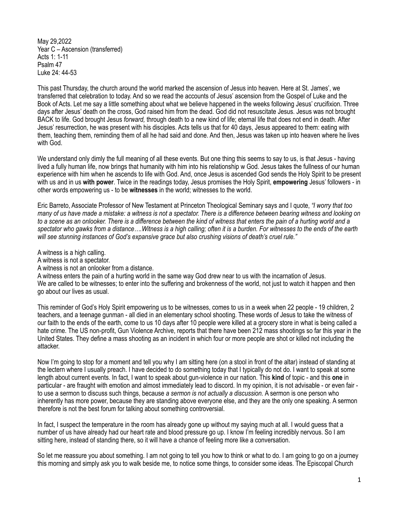May 29,2022 Year C – Ascension (transferred) Acts 1: 1-11 Psalm 47 Luke 24: 44-53

This past Thursday, the church around the world marked the ascension of Jesus into heaven. Here at St. James', we transferred that celebration to today. And so we read the accounts of Jesus' ascension from the Gospel of Luke and the Book of Acts. Let me say a little something about what we believe happened in the weeks following Jesus' crucifixion. Three days after Jesus' death on the cross, God raised him from the dead. God did not resuscitate Jesus. Jesus was not brought BACK to life. God brought Jesus *forward,* through death to a new kind of life; eternal life that does not end in death. After Jesus' resurrection, he was present with his disciples. Acts tells us that for 40 days, Jesus appeared to them: eating with them, teaching them, reminding them of all he had said and done. And then, Jesus was taken up into heaven where he lives with God.

We understand only dimly the full meaning of all these events. But one thing this seems to say to us, is that Jesus - having lived a fully human life, now brings that humanity with him into his relationship w God. Jesus takes the fullness of our human experience with him when he ascends to life with God. And, once Jesus is ascended God sends the Holy Spirit to be present with us and in us **with power**. Twice in the readings today, Jesus promises the Holy Spirit, **empowering** Jesus' followers - in other words empowering us - to be **witnesses** in the world; witnesses to the world.

Eric Barreto, Associate Professor of New Testament at Princeton Theological Seminary says and I quote, *"I worry that too many of us have made a mistake: a witness is not a spectator. There is a difference between bearing witness and looking on to a scene as an onlooker. There is a difference between the kind of witness that enters the pain of a hurting world and a spectator who gawks from a distance….Witness is a high calling; often it is a burden. For witnesses to the ends of the earth will see stunning instances of God's expansive grace but also crushing visions of death's cruel rule."*

A witness is a high calling.

A witness is not a spectator.

A witness is not an onlooker from a distance.

A witness enters the pain of a hurting world in the same way God drew near to us with the incarnation of Jesus. We are called to be witnesses; to enter into the suffering and brokenness of the world, not just to watch it happen and then go about our lives as usual.

This reminder of God's Holy Spirit empowering us to be witnesses, comes to us in a week when 22 people - 19 children, 2 teachers, and a teenage gunman - all died in an elementary school shooting. These words of Jesus to take the witness of our faith to the ends of the earth, come to us 10 days after 10 people were killed at a grocery store in what is being called a hate crime. The US non-profit, Gun Violence Archive, reports that there have been 212 mass shootings so far this year in the United States. They define a mass shooting as an incident in which four or more people are shot or killed not including the attacker.

Now I'm going to stop for a moment and tell you why I am sitting here (on a stool in front of the altar) instead of standing at the lectern where I usually preach. I have decided to do something today that I typically do not do. I want to speak at some length about current events. In fact, I want to speak about gun-violence in our nation. This **kind** of topic - and this **one** in particular - are fraught with emotion and almost immediately lead to discord. In my opinion, it is not advisable - or even fair to use a sermon to discuss such things, because *a sermon is not actually a discussion.* A sermon is one person who inherently has more power, because they are standing above everyone else, and they are the only one speaking. A sermon therefore is not the best forum for talking about something controversial.

In fact, I suspect the temperature in the room has already gone up without my saying much at all. I would guess that a number of us have already had our heart rate and blood pressure go up. I know I'm feeling incredibly nervous. So I am sitting here, instead of standing there, so it will have a chance of feeling more like a conversation.

So let me reassure you about something. I am not going to tell you how to think or what to do. I am going to go on a journey this morning and simply ask you to walk beside me, to notice some things, to consider some ideas. The Episcopal Church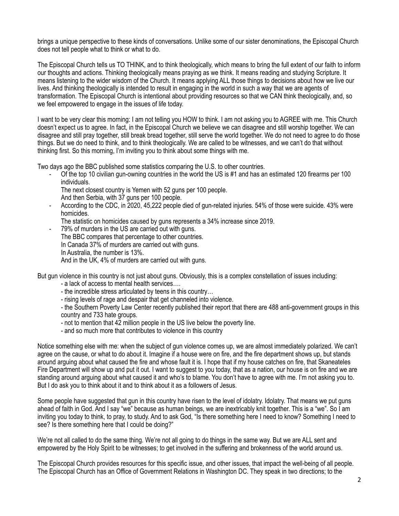brings a unique perspective to these kinds of conversations. Unlike some of our sister denominations, the Episcopal Church does not tell people what to think or what to do.

The Episcopal Church tells us TO THINK, and to think theologically, which means to bring the full extent of our faith to inform our thoughts and actions. Thinking theologically means praying as we think. It means reading and studying Scripture. It means listening to the wider wisdom of the Church. It means applying ALL those things to decisions about how we live our lives. And thinking theologically is intended to result in engaging in the world in such a way that we are agents of transformation. The Episcopal Church is intentional about providing resources so that we CAN think theologically, and, so we feel empowered to engage in the issues of life today.

I want to be very clear this morning: I am not telling you HOW to think. I am not asking you to AGREE with me. This Church doesn't expect us to agree. In fact, in the Episcopal Church we believe we can disagree and still worship together. We can disagree and still pray together, still break bread together, still serve the world together. We do not need to agree to do those things. But we do need to think, and to think theologically. We are called to be witnesses, and we can't do that without thinking first. So this morning, I'm inviting you to think about some things with me.

Two days ago the BBC published some statistics comparing the U.S. to other countries.

- Of the top 10 civilian gun-owning countries in the world the US is #1 and has an estimated 120 firearms per 100 individuals.
	- The next closest country is Yemen with 52 guns per 100 people.
	- And then Serbia, with 37 guns per 100 people.
- According to the CDC, in 2020, 45,222 people died of gun-related injuries. 54% of those were suicide. 43% were homicides.
	- The statistic on homicides caused by guns represents a 34% increase since 2019.
- 79% of murders in the US are carried out with guns. The BBC compares that percentage to other countries. In Canada 37% of murders are carried out with guns. In Australia, the number is 13%. And in the UK, 4% of murders are carried out with guns.

But gun violence in this country is not just about guns. Obviously, this is a complex constellation of issues including:

- a lack of access to mental health services….
- the incredible stress articulated by teens in this country…
- rising levels of rage and despair that get channeled into violence.

- the Southern Poverty Law Center recently published their report that there are 488 anti-government groups in this country and 733 hate groups.

- not to mention that 42 million people in the US live below the poverty line.
- and so much more that contributes to violence in this country

Notice something else with me: when the subject of gun violence comes up, we are almost immediately polarized. We can't agree on the cause, or what to do about it. Imagine if a house were on fire, and the fire department shows up, but stands around arguing about what caused the fire and whose fault it is. I hope that if my house catches on fire, that Skaneateles Fire Department will show up and put it out. I want to suggest to you today, that as a nation, our house is on fire and we are standing around arguing about what caused it and who's to blame. You don't have to agree with me. I'm not asking you to. But I do ask you to think about it and to think about it as a followers of Jesus.

Some people have suggested that gun in this country have risen to the level of idolatry. Idolatry. That means we put guns ahead of faith in God. And I say "we" because as human beings, we are inextricably knit together. This is a "we". So I am inviting you today to think, to pray, to study. And to ask God, "Is there something here I need to know? Something I need to see? Is there something here that I could be doing?"

We're not all called to do the same thing. We're not all going to do things in the same way. But we are ALL sent and empowered by the Holy Spirit to be witnesses; to get involved in the suffering and brokenness of the world around us.

The Episcopal Church provides resources for this specific issue, and other issues, that impact the well-being of all people. The Episcopal Church has an Office of Government Relations in Washington DC. They speak in two directions; to the